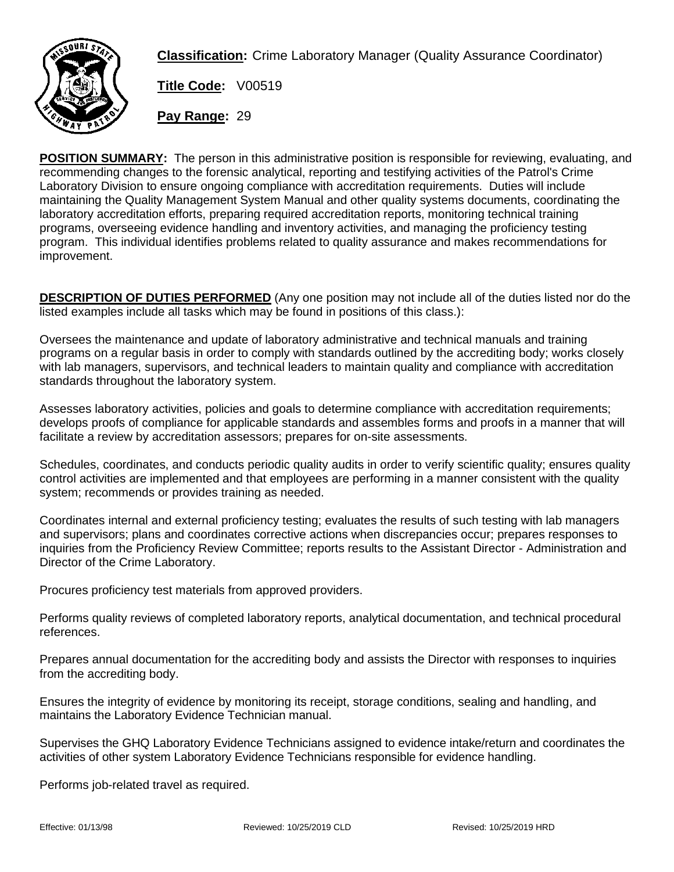

**Classification:** Crime Laboratory Manager (Quality Assurance Coordinator)

**Title Code:** V00519

**Pay Range:** 29

**POSITION SUMMARY:** The person in this administrative position is responsible for reviewing, evaluating, and recommending changes to the forensic analytical, reporting and testifying activities of the Patrol's Crime Laboratory Division to ensure ongoing compliance with accreditation requirements. Duties will include maintaining the Quality Management System Manual and other quality systems documents, coordinating the laboratory accreditation efforts, preparing required accreditation reports, monitoring technical training programs, overseeing evidence handling and inventory activities, and managing the proficiency testing program. This individual identifies problems related to quality assurance and makes recommendations for improvement.

**DESCRIPTION OF DUTIES PERFORMED** (Any one position may not include all of the duties listed nor do the listed examples include all tasks which may be found in positions of this class.):

Oversees the maintenance and update of laboratory administrative and technical manuals and training programs on a regular basis in order to comply with standards outlined by the accrediting body; works closely with lab managers, supervisors, and technical leaders to maintain quality and compliance with accreditation standards throughout the laboratory system.

Assesses laboratory activities, policies and goals to determine compliance with accreditation requirements; develops proofs of compliance for applicable standards and assembles forms and proofs in a manner that will facilitate a review by accreditation assessors; prepares for on-site assessments.

Schedules, coordinates, and conducts periodic quality audits in order to verify scientific quality; ensures quality control activities are implemented and that employees are performing in a manner consistent with the quality system; recommends or provides training as needed.

Coordinates internal and external proficiency testing; evaluates the results of such testing with lab managers and supervisors; plans and coordinates corrective actions when discrepancies occur; prepares responses to inquiries from the Proficiency Review Committee; reports results to the Assistant Director - Administration and Director of the Crime Laboratory.

Procures proficiency test materials from approved providers.

Performs quality reviews of completed laboratory reports, analytical documentation, and technical procedural references.

Prepares annual documentation for the accrediting body and assists the Director with responses to inquiries from the accrediting body.

Ensures the integrity of evidence by monitoring its receipt, storage conditions, sealing and handling, and maintains the Laboratory Evidence Technician manual.

Supervises the GHQ Laboratory Evidence Technicians assigned to evidence intake/return and coordinates the activities of other system Laboratory Evidence Technicians responsible for evidence handling.

Performs job-related travel as required.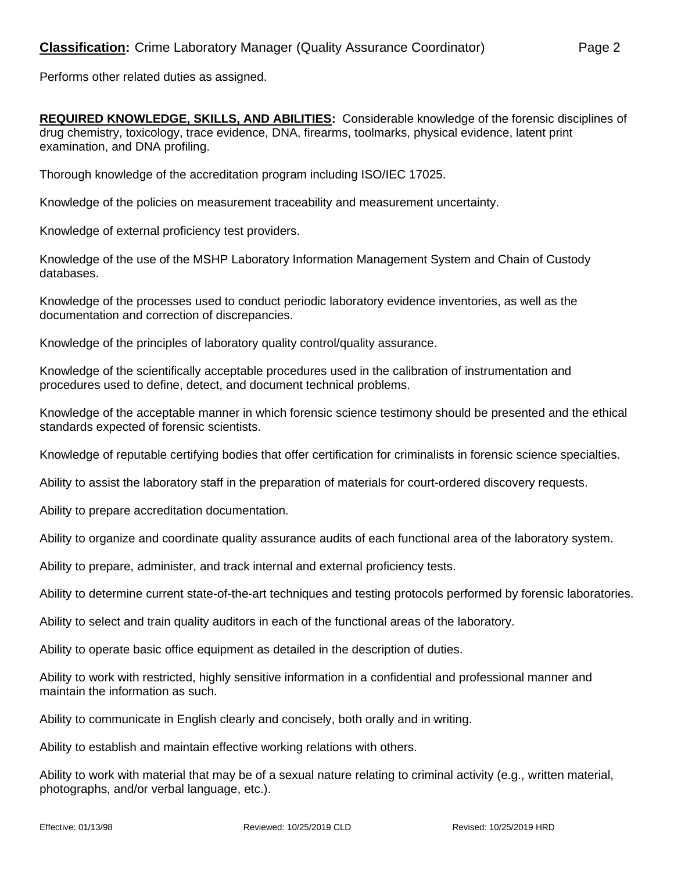Performs other related duties as assigned.

**REQUIRED KNOWLEDGE, SKILLS, AND ABILITIES:** Considerable knowledge of the forensic disciplines of drug chemistry, toxicology, trace evidence, DNA, firearms, toolmarks, physical evidence, latent print examination, and DNA profiling.

Thorough knowledge of the accreditation program including ISO/IEC 17025.

Knowledge of the policies on measurement traceability and measurement uncertainty.

Knowledge of external proficiency test providers.

Knowledge of the use of the MSHP Laboratory Information Management System and Chain of Custody databases.

Knowledge of the processes used to conduct periodic laboratory evidence inventories, as well as the documentation and correction of discrepancies.

Knowledge of the principles of laboratory quality control/quality assurance.

Knowledge of the scientifically acceptable procedures used in the calibration of instrumentation and procedures used to define, detect, and document technical problems.

Knowledge of the acceptable manner in which forensic science testimony should be presented and the ethical standards expected of forensic scientists.

Knowledge of reputable certifying bodies that offer certification for criminalists in forensic science specialties.

Ability to assist the laboratory staff in the preparation of materials for court-ordered discovery requests.

Ability to prepare accreditation documentation.

Ability to organize and coordinate quality assurance audits of each functional area of the laboratory system.

Ability to prepare, administer, and track internal and external proficiency tests.

Ability to determine current state-of-the-art techniques and testing protocols performed by forensic laboratories.

Ability to select and train quality auditors in each of the functional areas of the laboratory.

Ability to operate basic office equipment as detailed in the description of duties.

Ability to work with restricted, highly sensitive information in a confidential and professional manner and maintain the information as such.

Ability to communicate in English clearly and concisely, both orally and in writing.

Ability to establish and maintain effective working relations with others.

Ability to work with material that may be of a sexual nature relating to criminal activity (e.g., written material, photographs, and/or verbal language, etc.).